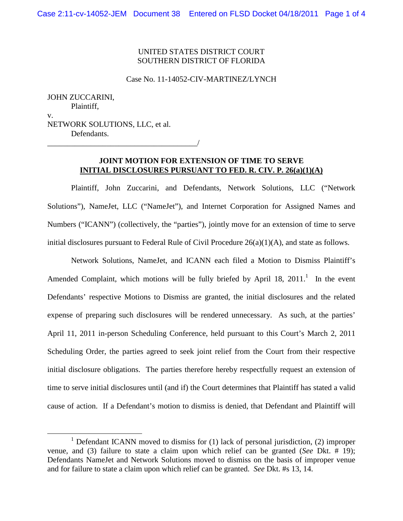# UNITED STATES DISTRICT COURT SOUTHERN DISTRICT OF FLORIDA

#### Case No. 11-14052-CIV-MARTINEZ/LYNCH

JOHN ZUCCARINI, Plaintiff, v. NETWORK SOLUTIONS, LLC, et al. Defendants.

\_\_\_\_\_\_\_\_\_\_\_\_\_\_\_\_\_\_\_\_\_\_\_\_\_\_\_\_\_\_\_\_\_\_\_\_\_\_/

### **JOINT MOTION FOR EXTENSION OF TIME TO SERVE INITIAL DISCLOSURES PURSUANT TO FED. R. CIV. P. 26(a)(1)(A)**

Plaintiff, John Zuccarini, and Defendants, Network Solutions, LLC ("Network Solutions"), NameJet, LLC ("NameJet"), and Internet Corporation for Assigned Names and Numbers ("ICANN") (collectively, the "parties"), jointly move for an extension of time to serve initial disclosures pursuant to Federal Rule of Civil Procedure 26(a)(1)(A), and state as follows.

Network Solutions, NameJet, and ICANN each filed a Motion to Dismiss Plaintiff's Amended Complaint, which motions will be fully briefed by April 18,  $2011$ .<sup>1</sup> In the event Defendants' respective Motions to Dismiss are granted, the initial disclosures and the related expense of preparing such disclosures will be rendered unnecessary. As such, at the parties' April 11, 2011 in-person Scheduling Conference, held pursuant to this Court's March 2, 2011 Scheduling Order, the parties agreed to seek joint relief from the Court from their respective initial disclosure obligations. The parties therefore hereby respectfully request an extension of time to serve initial disclosures until (and if) the Court determines that Plaintiff has stated a valid cause of action. If a Defendant's motion to dismiss is denied, that Defendant and Plaintiff will

 $1$  Defendant ICANN moved to dismiss for (1) lack of personal jurisdiction, (2) improper venue, and (3) failure to state a claim upon which relief can be granted (*See* Dkt. # 19); Defendants NameJet and Network Solutions moved to dismiss on the basis of improper venue and for failure to state a claim upon which relief can be granted. *See* Dkt. #s 13, 14.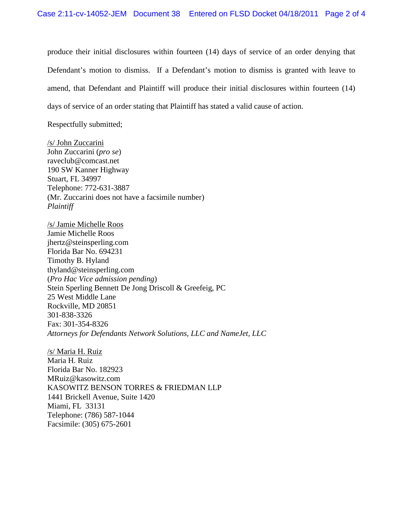produce their initial disclosures within fourteen (14) days of service of an order denying that Defendant's motion to dismiss. If a Defendant's motion to dismiss is granted with leave to amend, that Defendant and Plaintiff will produce their initial disclosures within fourteen (14) days of service of an order stating that Plaintiff has stated a valid cause of action.

Respectfully submitted;

/s/ John Zuccarini John Zuccarini (*pro se*) raveclub@comcast.net 190 SW Kanner Highway Stuart, FL 34997 Telephone: 772-631-3887 (Mr. Zuccarini does not have a facsimile number) *Plaintiff*

/s/ Jamie Michelle Roos Jamie Michelle Roos jhertz@steinsperling.com Florida Bar No. 694231 Timothy B. Hyland thyland@steinsperling.com (*Pro Hac Vice admission pending*) Stein Sperling Bennett De Jong Driscoll & Greefeig, PC 25 West Middle Lane Rockville, MD 20851 301-838-3326 Fax: 301-354-8326 *Attorneys for Defendants Network Solutions, LLC and NameJet, LLC*

/s/ Maria H. Ruiz Maria H. Ruiz Florida Bar No. 182923 MRuiz@kasowitz.com KASOWITZ BENSON TORRES & FRIEDMAN LLP 1441 Brickell Avenue, Suite 1420 Miami, FL 33131 Telephone: (786) 587-1044 Facsimile: (305) 675-2601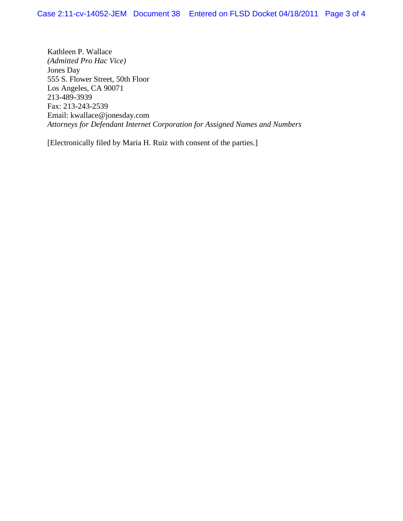Kathleen P. Wallace *(Admitted Pro Hac Vice)* Jones Day 555 S. Flower Street, 50th Floor Los Angeles, CA 90071 213-489-3939 Fax: 213-243-2539 Email: kwallace@jonesday.com *Attorneys for Defendant Internet Corporation for Assigned Names and Numbers*

[Electronically filed by Maria H. Ruiz with consent of the parties.]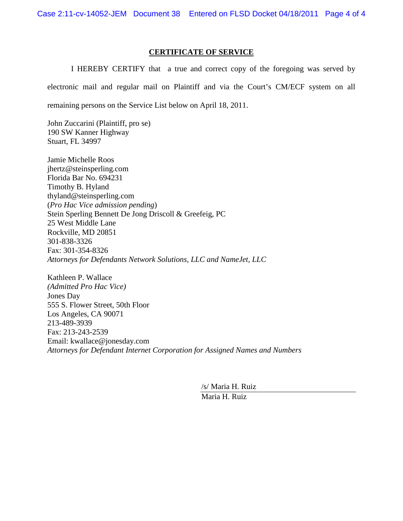### **CERTIFICATE OF SERVICE**

I HEREBY CERTIFY that a true and correct copy of the foregoing was served by electronic mail and regular mail on Plaintiff and via the Court's CM/ECF system on all remaining persons on the Service List below on April 18, 2011.

John Zuccarini (Plaintiff, pro se) 190 SW Kanner Highway Stuart, FL 34997

Jamie Michelle Roos jhertz@steinsperling.com Florida Bar No. 694231 Timothy B. Hyland thyland@steinsperling.com (*Pro Hac Vice admission pending*) Stein Sperling Bennett De Jong Driscoll & Greefeig, PC 25 West Middle Lane Rockville, MD 20851 301-838-3326 Fax: 301-354-8326 *Attorneys for Defendants Network Solutions, LLC and NameJet, LLC*

Kathleen P. Wallace *(Admitted Pro Hac Vice)* Jones Day 555 S. Flower Street, 50th Floor Los Angeles, CA 90071 213-489-3939 Fax: 213-243-2539 Email: kwallace@jonesday.com *Attorneys for Defendant Internet Corporation for Assigned Names and Numbers*

> /s/ Maria H. Ruiz Maria H. Ruiz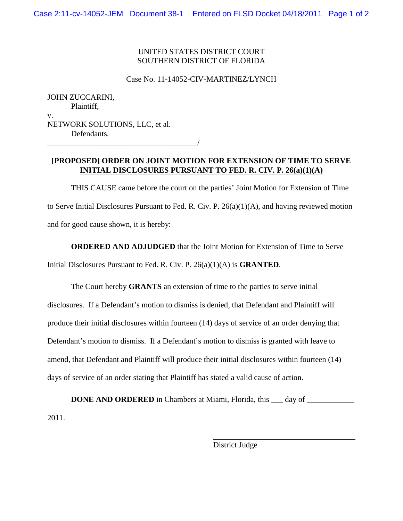# UNITED STATES DISTRICT COURT SOUTHERN DISTRICT OF FLORIDA

Case No. 11-14052-CIV-MARTINEZ/LYNCH

JOHN ZUCCARINI, Plaintiff, v. NETWORK SOLUTIONS, LLC, et al. Defendants.

\_\_\_\_\_\_\_\_\_\_\_\_\_\_\_\_\_\_\_\_\_\_\_\_\_\_\_\_\_\_\_\_\_\_\_\_\_\_/

## **[PROPOSED] ORDER ON JOINT MOTION FOR EXTENSION OF TIME TO SERVE INITIAL DISCLOSURES PURSUANT TO FED. R. CIV. P. 26(a)(1)(A)**

THIS CAUSE came before the court on the parties' Joint Motion for Extension of Time to Serve Initial Disclosures Pursuant to Fed. R. Civ. P. 26(a)(1)(A), and having reviewed motion and for good cause shown, it is hereby:

**ORDERED AND ADJUDGED** that the Joint Motion for Extension of Time to Serve Initial Disclosures Pursuant to Fed. R. Civ. P. 26(a)(1)(A) is **GRANTED**.

The Court hereby **GRANTS** an extension of time to the parties to serve initial disclosures. If a Defendant's motion to dismiss is denied, that Defendant and Plaintiff will produce their initial disclosures within fourteen (14) days of service of an order denying that Defendant's motion to dismiss. If a Defendant's motion to dismiss is granted with leave to amend, that Defendant and Plaintiff will produce their initial disclosures within fourteen (14) days of service of an order stating that Plaintiff has stated a valid cause of action.

**DONE AND ORDERED** in Chambers at Miami, Florida, this \_\_\_ day of \_\_\_\_\_\_\_\_\_\_\_\_\_\_\_ 2011.

District Judge